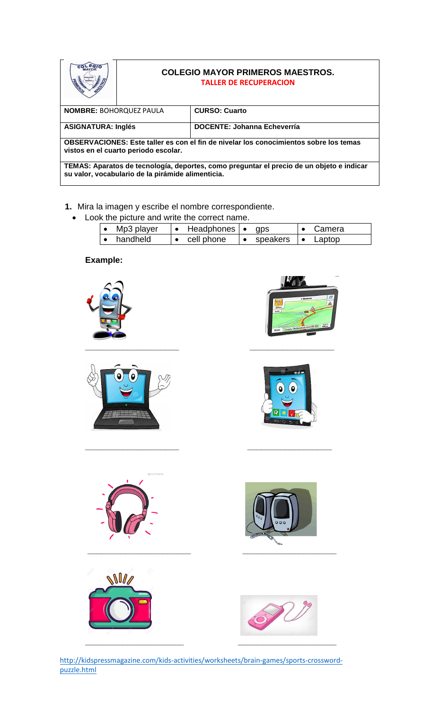|                                                                                                                                               | <b>COLEGIO MAYOR PRIMEROS MAESTROS.</b><br><b>TALLER DE RECUPERACION</b> |                                    |  |  |  |  |  |  |
|-----------------------------------------------------------------------------------------------------------------------------------------------|--------------------------------------------------------------------------|------------------------------------|--|--|--|--|--|--|
| <b>NOMBRE: BOHORQUEZ PAULA</b>                                                                                                                |                                                                          | <b>CURSO: Cuarto</b>               |  |  |  |  |  |  |
| <b>ASIGNATURA: Inglés</b>                                                                                                                     |                                                                          | <b>DOCENTE: Johanna Echeverría</b> |  |  |  |  |  |  |
| OBSERVACIONES: Este taller es con el fin de nivelar los conocimientos sobre los temas<br>vistos en el cuarto periodo escolar.                 |                                                                          |                                    |  |  |  |  |  |  |
| TEMAS: Aparatos de tecnología, deportes, como preguntar el precio de un objeto e indicar<br>su valor, vocabulario de la pirámide alimenticia. |                                                                          |                                    |  |  |  |  |  |  |

- **1.** Mira la imagen y escribe el nombre correspondiente.
	- Look the picture and write the correct name.

| Mp3 player | Headphones $\bullet$ | <b>GDS</b> | Camera |
|------------|----------------------|------------|--------|
| handheld   | cell phone           | speakers   | Laptop |

## **Example:**

















[http://kidspressmagazine.com/kids-activities/worksheets/brain-games/sports-crossword](http://kidspressmagazine.com/kids-activities/worksheets/brain-games/sports-crossword-puzzle.html)[puzzle.html](http://kidspressmagazine.com/kids-activities/worksheets/brain-games/sports-crossword-puzzle.html)

**\_\_\_\_\_\_\_\_\_\_\_\_\_\_\_\_\_\_\_\_ \_\_\_\_\_\_\_\_\_\_\_\_\_\_\_\_\_\_**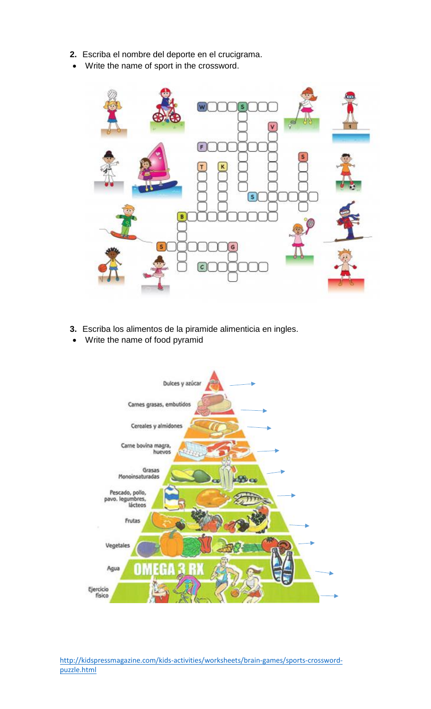- **2.** Escriba el nombre del deporte en el crucigrama.
- Write the name of sport in the crossword.



- **3.** Escriba los alimentos de la piramide alimenticia en ingles.
- Write the name of food pyramid